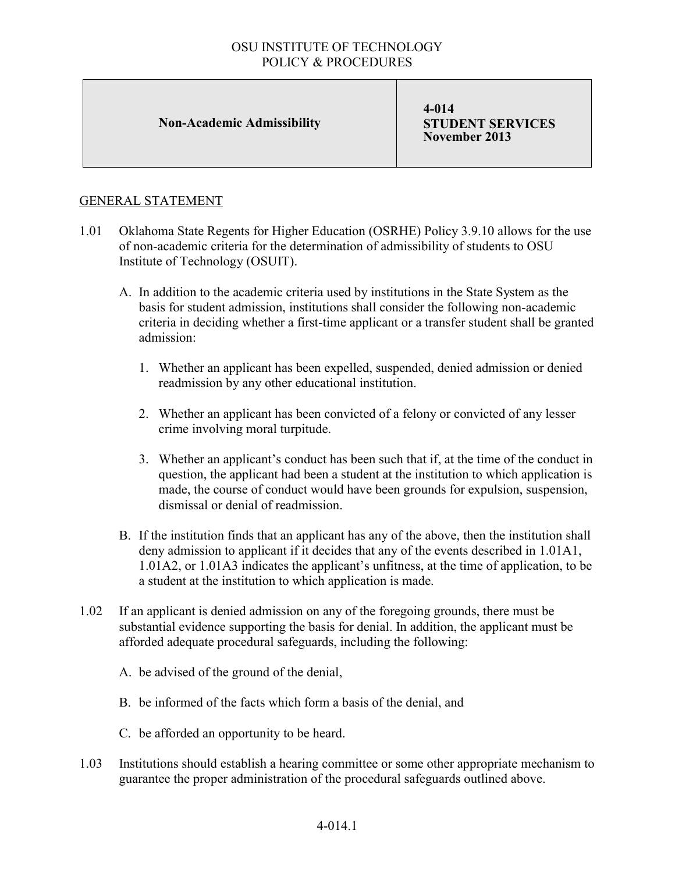## OSU INSTITUTE OF TECHNOLOGY POLICY & PROCEDURES

### **Non-Academic Admissibility**

**4-014 STUDENT SERVICES November 2013**

## GENERAL STATEMENT

- 1.01 Oklahoma State Regents for Higher Education (OSRHE) Policy 3.9.10 allows for the use of non-academic criteria for the determination of admissibility of students to OSU Institute of Technology (OSUIT).
	- A. In addition to the academic criteria used by institutions in the State System as the basis for student admission, institutions shall consider the following non-academic criteria in deciding whether a first-time applicant or a transfer student shall be granted admission:
		- 1. Whether an applicant has been expelled, suspended, denied admission or denied readmission by any other educational institution.
		- 2. Whether an applicant has been convicted of a felony or convicted of any lesser crime involving moral turpitude.
		- 3. Whether an applicant's conduct has been such that if, at the time of the conduct in question, the applicant had been a student at the institution to which application is made, the course of conduct would have been grounds for expulsion, suspension, dismissal or denial of readmission.
	- B. If the institution finds that an applicant has any of the above, then the institution shall deny admission to applicant if it decides that any of the events described in 1.01A1, 1.01A2, or 1.01A3 indicates the applicant's unfitness, at the time of application, to be a student at the institution to which application is made.
- 1.02 If an applicant is denied admission on any of the foregoing grounds, there must be substantial evidence supporting the basis for denial. In addition, the applicant must be afforded adequate procedural safeguards, including the following:
	- A. be advised of the ground of the denial,
	- B. be informed of the facts which form a basis of the denial, and
	- C. be afforded an opportunity to be heard.
- 1.03 Institutions should establish a hearing committee or some other appropriate mechanism to guarantee the proper administration of the procedural safeguards outlined above.

## 4-014.1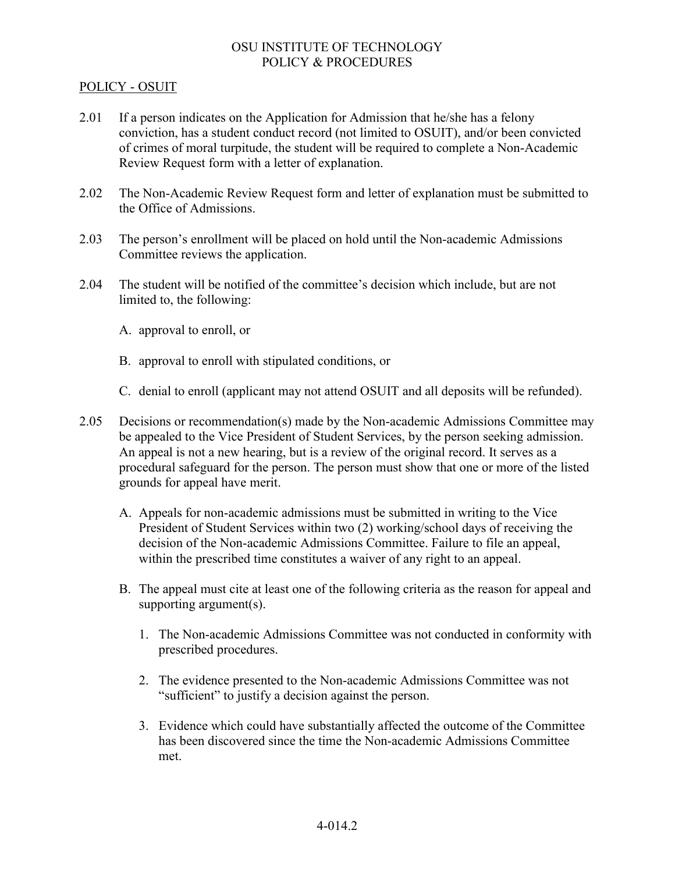## OSU INSTITUTE OF TECHNOLOGY POLICY & PROCEDURES

#### POLICY - OSUIT

- 2.01 If a person indicates on the Application for Admission that he/she has a felony conviction, has a student conduct record (not limited to OSUIT), and/or been convicted of crimes of moral turpitude, the student will be required to complete a Non-Academic Review Request form with a letter of explanation.
- 2.02 The Non-Academic Review Request form and letter of explanation must be submitted to the Office of Admissions.
- 2.03 The person's enrollment will be placed on hold until the Non-academic Admissions Committee reviews the application.
- 2.04 The student will be notified of the committee's decision which include, but are not limited to, the following:
	- A. approval to enroll, or
	- B. approval to enroll with stipulated conditions, or
	- C. denial to enroll (applicant may not attend OSUIT and all deposits will be refunded).
- 2.05 Decisions or recommendation(s) made by the Non-academic Admissions Committee may be appealed to the Vice President of Student Services, by the person seeking admission. An appeal is not a new hearing, but is a review of the original record. It serves as a procedural safeguard for the person. The person must show that one or more of the listed grounds for appeal have merit.
	- A. Appeals for non-academic admissions must be submitted in writing to the Vice President of Student Services within two (2) working/school days of receiving the decision of the Non-academic Admissions Committee. Failure to file an appeal, within the prescribed time constitutes a waiver of any right to an appeal.
	- B. The appeal must cite at least one of the following criteria as the reason for appeal and supporting argument(s).
		- 1. The Non-academic Admissions Committee was not conducted in conformity with prescribed procedures.
		- 2. The evidence presented to the Non-academic Admissions Committee was not "sufficient" to justify a decision against the person.
		- 3. Evidence which could have substantially affected the outcome of the Committee has been discovered since the time the Non-academic Admissions Committee met.